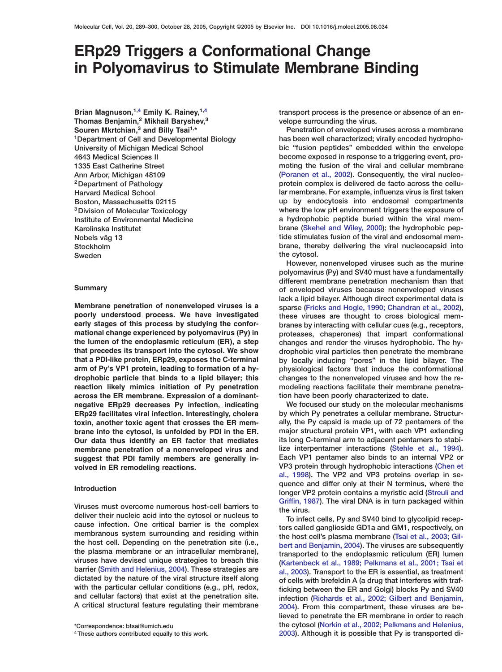# **ERp29 Triggers a Conformational Change in Polyomavirus to Stimulate Membrane Binding**

**Brian Magnuson,1,4 Emily K. Rainey,1,4 Thomas Benjamin,<sup>2</sup> Mikhail Baryshev,<sup>3</sup> Souren Mkrtchian,<sup>3</sup> and Billy Tsai1,\* 1Department of Cell and Developmental Biology University of Michigan Medical School 4643 Medical Sciences II 1335 East Catherine Street Ann Arbor, Michigan 48109 2Department of Pathology Harvard Medical School Boston, Massachusetts 02115 3Division of Molecular Toxicology Institute of Environmental Medicine Karolinska Institutet Nobels väg 13 Stockholm Sweden**

# **Summary**

**Membrane penetration of nonenveloped viruses is a poorly understood process. We have investigated early stages of this process by studying the conformational change experienced by polyomavirus (Py) in the lumen of the endoplasmic reticulum (ER), a step that precedes its transport into the cytosol. We show that a PDI-like protein, ERp29, exposes the C-terminal arm of Py's VP1 protein, leading to formation of a hydrophobic particle that binds to a lipid bilayer; this reaction likely mimics initiation of Py penetration across the ER membrane. Expression of a dominantnegative ERp29 decreases Py infection, indicating ERp29 facilitates viral infection. Interestingly, cholera toxin, another toxic agent that crosses the ER membrane into the cytosol, is unfolded by PDI in the ER. Our data thus identify an ER factor that mediates membrane penetration of a nonenveloped virus and suggest that PDI family members are generally involved in ER remodeling reactions.**

# **Introduction**

**Viruses must overcome numerous host-cell barriers to deliver their nucleic acid into the cytosol or nucleus to cause infection. One critical barrier is the complex membranous system surrounding and residing within the host cell. Depending on the penetration site (i.e., the plasma membrane or an intracellular membrane), viruses have devised unique strategies to breach this barrier [\(Smith and Helenius, 2004\)](#page-11-0). These strategies are dictated by the nature of the viral structure itself along with the particular cellular conditions (e.g., pH, redox, and cellular factors) that exist at the penetration site. A critical structural feature regulating their membrane**

**transport process is the presence or absence of an envelope surrounding the virus.**

**Penetration of enveloped viruses across a membrane has been well characterized; virally encoded hydrophobic "fusion peptides" embedded within the envelope become exposed in response to a triggering event, promoting the fusion of the viral and cellular membrane [\(Poranen et al., 2002\)](#page-10-0). Consequently, the viral nucleoprotein complex is delivered de facto across the cellular membrane. For example, influenza virus is first taken up by endocytosis into endosomal compartments where the low pH environment triggers the exposure of a hydrophobic peptide buried within the viral membrane [\(Skehel and Wiley, 2000\)](#page-10-0); the hydrophobic peptide stimulates fusion of the viral and endosomal membrane, thereby delivering the viral nucleocapsid into the cytosol.**

**However, nonenveloped viruses such as the murine polyomavirus (Py) and SV40 must have a fundamentally different membrane penetration mechanism than that of enveloped viruses because nonenveloped viruses lack a lipid bilayer. Although direct experimental data is sparse [\(Fricks and Hogle, 1990; Chandran et al., 2002\)](#page-10-0), these viruses are thought to cross biological membranes by interacting with cellular cues (e.g., receptors, proteases, chaperones) that impart conformational changes and render the viruses hydrophobic. The hydrophobic viral particles then penetrate the membrane by locally inducing "pores" in the lipid bilayer. The physiological factors that induce the conformational changes to the nonenveloped viruses and how the remodeling reactions facilitate their membrane penetration have been poorly characterized to date.**

**We focused our study on the molecular mechanisms by which Py penetrates a cellular membrane. Structurally, the Py capsid is made up of 72 pentamers of the major structural protein VP1, with each VP1 extending its long C-terminal arm to adjacent pentamers to stabilize interpentamer interactions [\(Stehle et al., 1994\)](#page-11-0). Each VP1 pentamer also binds to an internal VP2 or VP3 protein through hydrophobic interactions [\(Chen et](#page-10-0) [al., 1998\)](#page-10-0). The VP2 and VP3 proteins overlap in sequence and differ only at their N terminus, where the longer VP2 protein contains a myristic acid [\(Streuli and](#page-11-0) [Griffin, 1987\)](#page-11-0). The viral DNA is in turn packaged within the virus.**

**To infect cells, Py and SV40 bind to glycolipid receptors called ganglioside GD1a and GM1, respectively, on the host cell's plasma membrane [\(Tsai et al., 2003; Gil](#page-11-0)[bert and Benjamin, 2004\)](#page-11-0). The viruses are subsequently transported to the endoplasmic reticulum (ER) lumen [\(Kartenbeck et al., 1989; Pelkmans et al., 2001; Tsai et](#page-10-0) [al., 2003\)](#page-10-0). Transport to the ER is essential, as treatment of cells with brefeldin A (a drug that interferes with trafficking between the ER and Golgi) blocks Py and SV40 infection [\(Richards et al., 2002; Gilbert and Benjamin,](#page-10-0) [2004](#page-10-0)). From this compartment, these viruses are believed to penetrate the ER membrane in order to reach the cytosol [\(Norkin et al., 2002; Pelkmans and Helenius,](#page-10-0) [2003](#page-10-0)). Although it is possible that Py is transported di-**

**<sup>\*</sup>Correspondence: btsai@umich.edu**

**<sup>4</sup>These authors contributed equally to this work.**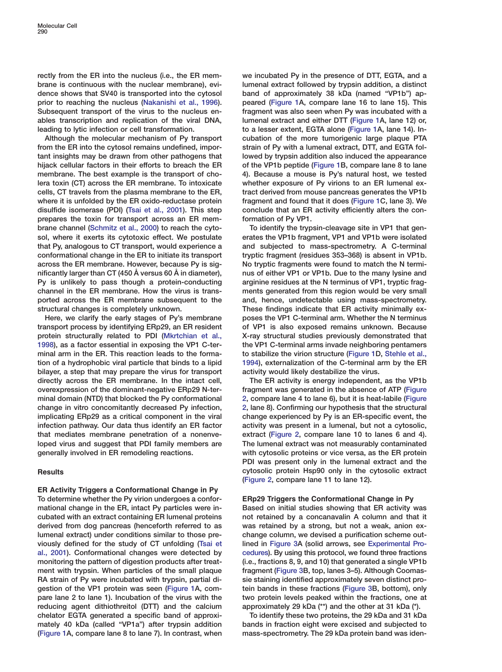**rectly from the ER into the nucleus (i.e., the ER membrane is continuous with the nuclear membrane), evidence shows that SV40 is transported into the cytosol prior to reaching the nucleus [\(Nakanishi et al., 1996\)](#page-10-0). Subsequent transport of the virus to the nucleus enables transcription and replication of the viral DNA, leading to lytic infection or cell transformation.**

**Although the molecular mechanism of Py transport from the ER into the cytosol remains undefined, important insights may be drawn from other pathogens that hijack cellular factors in their efforts to breach the ER membrane. The best example is the transport of cholera toxin (CT) across the ER membrane. To intoxicate cells, CT travels from the plasma membrane to the ER, where it is unfolded by the ER oxido-reductase protein disulfide isomerase (PDI) [\(Tsai et al., 2001\)](#page-11-0). This step prepares the toxin for transport across an ER membrane channel [\(Schmitz et al., 2000\)](#page-10-0) to reach the cytosol, where it exerts its cytotoxic effect. We postulate that Py, analogous to CT transport, would experience a conformational change in the ER to initiate its transport across the ER membrane. However, because Py is significantly larger than CT (450 Å versus 60 Å in diameter), Py is unlikely to pass though a protein-conducting channel in the ER membrane. How the virus is transported across the ER membrane subsequent to the structural changes is completely unknown.**

**Here, we clarify the early stages of Py's membrane transport process by identifying ERp29, an ER resident protein structurally related to PDI [\(Mkrtchian et al.,](#page-10-0) [1998\)](#page-10-0), as a factor essential in exposing the VP1 C-terminal arm in the ER. This reaction leads to the formation of a hydrophobic viral particle that binds to a lipid bilayer, a step that may prepare the virus for transport directly across the ER membrane. In the intact cell, overexpression of the dominant-negative ERp29 N-terminal domain (NTD) that blocked the Py conformational change in vitro concomitantly decreased Py infection, implicating ERp29 as a critical component in the viral infection pathway. Our data thus identify an ER factor that mediates membrane penetration of a nonenveloped virus and suggest that PDI family members are generally involved in ER remodeling reactions.**

# **Results**

**ER Activity Triggers a Conformational Change in Py To determine whether the Py virion undergoes a conformational change in the ER, intact Py particles were incubated with an extract containing ER lumenal proteins derived from dog pancreas (henceforth referred to as lumenal extract) under conditions similar to those previously defined for the study of CT unfolding [\(Tsai et](#page-11-0) [al., 2001\)](#page-11-0). Conformational changes were detected by monitoring the pattern of digestion products after treatment with trypsin. When particles of the small plaque RA strain of Py were incubated with trypsin, partial digestion of the VP1 protein was seen [\(Figure 1A](#page-2-0), compare lane 2 to lane 1). Incubation of the virus with the reducing agent dithiothreitol (DTT) and the calcium chelator EGTA generated a specific band of approximately 40 kDa (called "VP1a") after trypsin addition [\(Figure 1A](#page-2-0), compare lane 8 to lane 7). In contrast, when** **we incubated Py in the presence of DTT, EGTA, and a lumenal extract followed by trypsin addition, a distinct band of approximately 38 kDa (named "VP1b") appeared [\(Figure 1A](#page-2-0), compare lane 16 to lane 15). This fragment was also seen when Py was incubated with a lumenal extract and either DTT [\(Figure 1A](#page-2-0), lane 12) or, to a lesser extent, EGTA alone [\(Figure 1A](#page-2-0), lane 14). Incubation of the more tumorigenic large plaque PTA strain of Py with a lumenal extract, DTT, and EGTA followed by trypsin addition also induced the appearance of the VP1b peptide [\(Figure 1B](#page-2-0), compare lane 8 to lane 4). Because a mouse is Py's natural host, we tested whether exposure of Py virions to an ER lumenal extract derived from mouse pancreas generates the VP1b fragment and found that it does [\(Figure 1C](#page-2-0), lane 3). We conclude that an ER activity efficiently alters the conformation of Py VP1.**

**To identify the trypsin-cleavage site in VP1 that generates the VP1b fragment, VP1 and VP1b were isolated and subjected to mass-spectrometry. A C-terminal tryptic fragment (residues 353–368) is absent in VP1b. No tryptic fragments were found to match the N terminus of either VP1 or VP1b. Due to the many lysine and arginine residues at the N terminus of VP1, tryptic fragments generated from this region would be very small and, hence, undetectable using mass-spectrometry. These findings indicate that ER activity minimally exposes the VP1 C-terminal arm. Whether the N terminus of VP1 is also exposed remains unknown. Because X-ray structural studies previously demonstrated that the VP1 C-terminal arms invade neighboring pentamers to stabilize the virion structure [\(Figure 1D](#page-2-0), [Stehle et al.,](#page-11-0) [1994](#page-11-0)), externalization of the C-terminal arm by the ER activity would likely destabilize the virus.**

**The ER activity is energy independent, as the VP1b fragment was generated in the absence of ATP [\(Figure](#page-3-0) [2](#page-3-0), compare lane 4 to lane 6), but it is heat-labile [\(Figure](#page-3-0) [2](#page-3-0), lane 8). Confirming our hypothesis that the structural change experienced by Py is an ER-specific event, the activity was present in a lumenal, but not a cytosolic, extract [\(Figure 2,](#page-3-0) compare lane 10 to lanes 6 and 4). The lumenal extract was not measurably contaminated with cytosolic proteins or vice versa, as the ER protein PDI was present only in the lumenal extract and the cytosolic protein Hsp90 only in the cytosolic extract [\(Figure 2,](#page-3-0) compare lane 11 to lane 12).**

# **ERp29 Triggers the Conformational Change in Py**

**Based on initial studies showing that ER activity was not retained by a concanavalin A column and that it was retained by a strong, but not a weak, anion exchange column, we devised a purification scheme outlined in [Figure 3A](#page-4-0) (solid arrows, see Experimental Procedures). By using this protocol, we found three fractions (i.e., fractions 8, 9, and 10) that generated a single VP1b fragment [\(Figure 3B](#page-4-0), top, lanes 3–5). Although Coomassie staining identified approximately seven distinct protein bands in these fractions [\(Figure 3B](#page-4-0), bottom), only two protein levels peaked within the fractions, one at approximately 29 kDa (\*\*) and the other at 31 kDa (\*).**

**To identify these two proteins, the 29 kDa and 31 kDa bands in fraction eight were excised and subjected to mass-spectrometry. The 29 kDa protein band was iden-**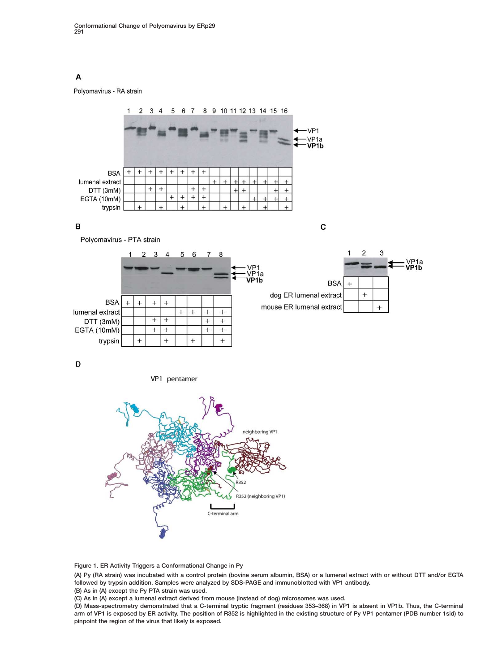# <span id="page-2-0"></span>A

Polyomavirus - RA strain



## B

C



VP1 pentamer



**Figure 1. ER Activity Triggers a Conformational Change in Py**

**(A) Py (RA strain) was incubated with a control protein (bovine serum albumin, BSA) or a lumenal extract with or without DTT and/or EGTA followed by trypsin addition. Samples were analyzed by SDS-PAGE and immunoblotted with VP1 antibody.**

**(B) As in (A) except the Py PTA strain was used.**

**(C) As in (A) except a lumenal extract derived from mouse (instead of dog) microsomes was used.**

**(D) Mass-spectrometry demonstrated that a C-terminal tryptic fragment (residues 353–368) in VP1 is absent in VP1b. Thus, the C-terminal arm of VP1 is exposed by ER activity. The position of R352 is highlighted in the existing structure of Py VP1 pentamer (PDB number 1sid) to pinpoint the region of the virus that likely is exposed.**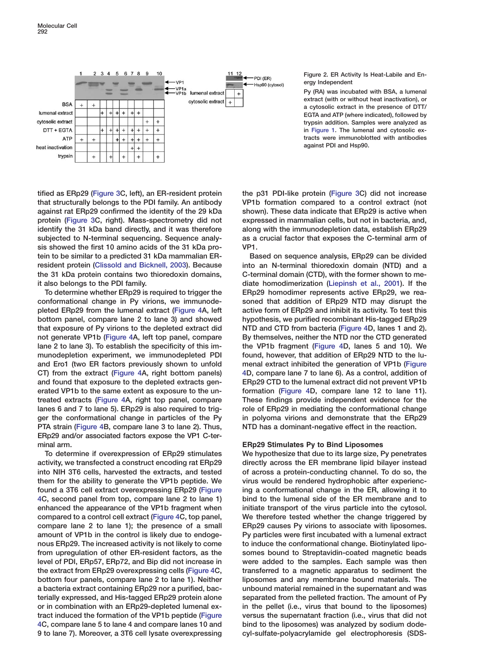<span id="page-3-0"></span>

**Figure 2. ER Activity Is Heat-Labile and Energy Independent**

**Py (RA) was incubated with BSA, a lumenal extract (with or without heat inactivation), or a cytosolic extract in the presence of DTT/ EGTA and ATP (where indicated), followed by trypsin addition. Samples were analyzed as in [Figure 1.](#page-10-0) The lumenal and cytosolic extracts were immunoblotted with antibodies against PDI and Hsp90.**

**tified as ERp29 [\(Figure 3](#page-4-0)C, left), an ER-resident protein that structurally belongs to the PDI family. An antibody against rat ERp29 confirmed the identity of the 29 kDa protein [\(Figure 3C](#page-4-0), right). Mass-spectrometry did not identify the 31 kDa band directly, and it was therefore subjected to N-terminal sequencing. Sequence analysis showed the first 10 amino acids of the 31 kDa protein to be similar to a predicted 31 kDa mammalian ERresident protein [\(Clissold and Bicknell, 2003\)](#page-10-0). Because the 31 kDa protein contains two thioredoxin domains, it also belongs to the PDI family.**

**To determine whether ERp29 is required to trigger the conformational change in Py virions, we immunodepleted ERp29 from the lumenal extract [\(Figure 4A](#page-5-0), left bottom panel, compare lane 2 to lane 3) and showed that exposure of Py virions to the depleted extract did not generate VP1b [\(Figure 4](#page-5-0)A, left top panel, compare lane 2 to lane 3). To establish the specificity of this immunodepletion experiment, we immunodepleted PDI and Ero1 (two ER factors previously shown to unfold CT) from the extract [\(Figure 4](#page-5-0)A, right bottom panels) and found that exposure to the depleted extracts generated VP1b to the same extent as exposure to the untreated extracts [\(Figure 4](#page-5-0)A, right top panel, compare lanes 6 and 7 to lane 5). ERp29 is also required to trigger the conformational change in particles of the Py PTA strain [\(Figure 4B](#page-5-0), compare lane 3 to lane 2). Thus, ERp29 and/or associated factors expose the VP1 C-terminal arm.**

**To determine if overexpression of ERp29 stimulates activity, we transfected a construct encoding rat ERp29 into NIH 3T6 cells, harvested the extracts, and tested them for the ability to generate the VP1b peptide. We found a 3T6 cell extract overexpressing ERp29 [\(Figure](#page-5-0) [4C](#page-5-0), second panel from top, compare lane 2 to lane 1) enhanced the appearance of the VP1b fragment when compared to a control cell extract [\(Figure 4C](#page-5-0), top panel, compare lane 2 to lane 1); the presence of a small amount of VP1b in the control is likely due to endogenous ERp29. The increased activity is not likely to come from upregulation of other ER-resident factors, as the level of PDI, ERp57, ERp72, and Bip did not increase in the extract from ERp29 overexpressing cells [\(Figure 4C](#page-5-0), bottom four panels, compare lane 2 to lane 1). Neither a bacteria extract containing ERp29 nor a purified, bacterially expressed, and His-tagged ERp29 protein alone or in combination with an ERp29-depleted lumenal extract induced the formation of the VP1b peptide [\(Figure](#page-5-0) [4C](#page-5-0), compare lane 5 to lane 4 and compare lanes 10 and 9 to lane 7). Moreover, a 3T6 cell lysate overexpressing**

**the p31 PDI-like protein [\(Figure 3C](#page-4-0)) did not increase VP1b formation compared to a control extract (not shown). These data indicate that ERp29 is active when expressed in mammalian cells, but not in bacteria, and, along with the immunodepletion data, establish ERp29 as a crucial factor that exposes the C-terminal arm of VP1.**

**Based on sequence analysis, ERp29 can be divided into an N-terminal thioredoxin domain (NTD) and a C-terminal domain (CTD), with the former shown to mediate homodimerization [\(Liepinsh et al., 2001\)](#page-10-0). If the ERp29 homodimer represents active ERp29, we reasoned that addition of ERp29 NTD may disrupt the active form of ERp29 and inhibit its activity. To test this hypothesis, we purified recombinant His-tagged ERp29 NTD and CTD from bacteria [\(Figure 4D](#page-5-0), lanes 1 and 2). By themselves, neither the NTD nor the CTD generated the VP1b fragment [\(Figure 4](#page-5-0)D, lanes 5 and 10). We found, however, that addition of ERp29 NTD to the lumenal extract inhibited the generation of VP1b [\(Figure](#page-5-0) [4](#page-5-0)D, compare lane 7 to lane 6). As a control, addition of ERp29 CTD to the lumenal extract did not prevent VP1b formation [\(Figure 4D](#page-5-0), compare lane 12 to lane 11). These findings provide independent evidence for the role of ERp29 in mediating the conformational change in polyoma virions and demonstrate that the ERp29 NTD has a dominant-negative effect in the reaction.**

# **ERp29 Stimulates Py to Bind Liposomes**

**We hypothesize that due to its large size, Py penetrates directly across the ER membrane lipid bilayer instead of across a protein-conducting channel. To do so, the virus would be rendered hydrophobic after experiencing a conformational change in the ER, allowing it to bind to the lumenal side of the ER membrane and to initiate transport of the virus particle into the cytosol. We therefore tested whether the change triggered by ERp29 causes Py virions to associate with liposomes. Py particles were first incubated with a lumenal extract to induce the conformational change. Biotinylated liposomes bound to Streptavidin-coated magnetic beads were added to the samples. Each sample was then transferred to a magnetic apparatus to sediment the liposomes and any membrane bound materials. The unbound material remained in the supernatant and was separated from the pelleted fraction. The amount of Py in the pellet (i.e., virus that bound to the liposomes) versus the supernatant fraction (i.e., virus that did not bind to the liposomes) was analyzed by sodium dodecyl-sulfate-polyacrylamide gel electrophoresis (SDS-**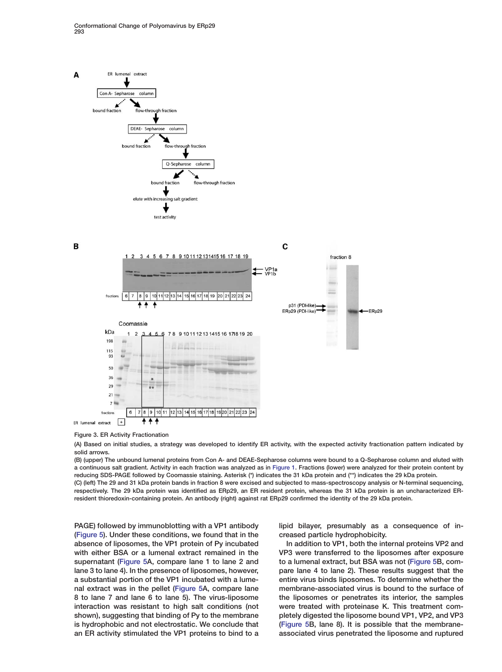<span id="page-4-0"></span>

# **Figure 3. ER Activity Fractionation**

**(A) Based on initial studies, a strategy was developed to identify ER activity, with the expected activity fractionation pattern indicated by solid arrows.**

**(B) (upper) The unbound lumenal proteins from Con A- and DEAE-Sepharose columns were bound to a Q-Sepharose column and eluted with a continuous salt gradient. Activity in each fraction was analyzed as in Figure 1. Fractions (lower) were analyzed for their protein content by reducing SDS-PAGE followed by Coomassie staining. Asterisk (\*) indic[ates the 3](#page-10-0)1 kDa protein and (\*\*) indicates the 29 kDa protein.**

**(C) (left) The 29 and 31 kDa protein bands in fraction 8 were excised and subjected to mass-spectroscopy analysis or N-terminal sequencing, respectively. The 29 kDa protein was identified as ERp29, an ER resident protein, whereas the 31 kDa protein is an uncharacterized ERresident thioredoxin-containing protein. An antibody (right) against rat ERp29 confirmed the identity of the 29 kDa protein.**

**PAGE) followed by immunoblotting with a VP1 antibody [\(Figure 5](#page-6-0)). Under these conditions, we found that in the absence of liposomes, the VP1 protein of Py incubated with either BSA or a lumenal extract remained in the supernatant [\(Figure 5A](#page-6-0), compare lane 1 to lane 2 and lane 3 to lane 4). In the presence of liposomes, however, a substantial portion of the VP1 incubated with a lumenal extract was in the pellet [\(Figure 5A](#page-6-0), compare lane 8 to lane 7 and lane 6 to lane 5). The virus-liposome interaction was resistant to high salt conditions (not shown), suggesting that binding of Py to the membrane is hydrophobic and not electrostatic. We conclude that an ER activity stimulated the VP1 proteins to bind to a** **lipid bilayer, presumably as a consequence of increased particle hydrophobicity.**

**In addition to VP1, both the internal proteins VP2 and VP3 were transferred to the liposomes after exposure to a lumenal extract, but BSA was not [\(Figure 5](#page-6-0)B, compare lane 4 to lane 2). These results suggest that the entire virus binds liposomes. To determine whether the membrane-associated virus is bound to the surface of the liposomes or penetrates its interior, the samples were treated with proteinase K. This treatment completely digested the liposome bound VP1, VP2, and VP3 [\(Figure 5B](#page-6-0), lane 8). It is possible that the membraneassociated virus penetrated the liposome and ruptured**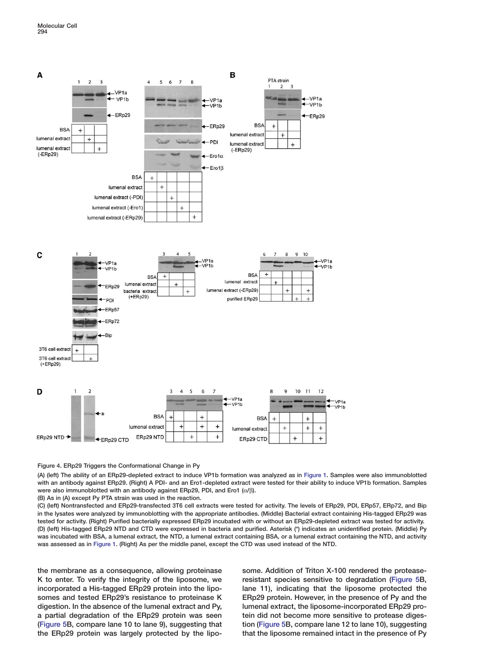<span id="page-5-0"></span>

# **Figure 4. ERp29 Triggers the Conformational Change in Py**

**(A) (left) The ability of an ERp29-depleted extract to induce VP1b formation was analyzed as in [Figure 1.](#page-10-0) Samples were also immunoblotted with an antibody against ERp29. (Right) A PDI- and an Ero1-depleted extract were tested for their ability to induce VP1b formation. Samples were also immunoblotted with an antibody against ERp29, PDI, and Ero1 (**α**/**β**).**

**(B) As in (A) except Py PTA strain was used in the reaction.**

**(C) (left) Nontransfected and ERp29-transfected 3T6 cell extracts were tested for activity. The levels of ERp29, PDI, ERp57, ERp72, and Bip in the lysates were analyzed by immunoblotting with the appropriate antibodies. (Middle) Bacterial extract containing His-tagged ERp29 was tested for activity. (Right) Purified bacterially expressed ERp29 incubated with or without an ERp29-depleted extract was tested for activity. (D) (left) His-tagged ERp29 NTD and CTD were expressed in bacteria and purified. Asterisk (\*) indicates an unidentified protein. (Middle) Py was incubated with BSA, a lumenal extract, the NTD, a lumenal extract containing BSA, or a lumenal extract containing the NTD, and activity was assessed as in [Figure 1](#page-10-0). (Right) As per the middle panel, except the CTD was used instead of the NTD.**

**the membrane as a consequence, allowing proteinase K to enter. To verify the integrity of the liposome, we incorporated a His-tagged ERp29 protein into the liposomes and tested ERp29's resistance to proteinase K digestion. In the absence of the lumenal extract and Py, a partial degradation of the ERp29 protein was seen [\(Figure 5B](#page-6-0), compare lane 10 to lane 9), suggesting that the ERp29 protein was largely protected by the lipo-** **some. Addition of Triton X-100 rendered the proteaseresistant species sensitive to degradation [\(Figure 5](#page-6-0)B, lane 11), indicating that the liposome protected the ERp29 protein. However, in the presence of Py and the lumenal extract, the liposome-incorporated ERp29 protein did not become more sensitive to protease digestion [\(Figure 5B](#page-6-0), compare lane 12 to lane 10), suggesting that the liposome remained intact in the presence of Py**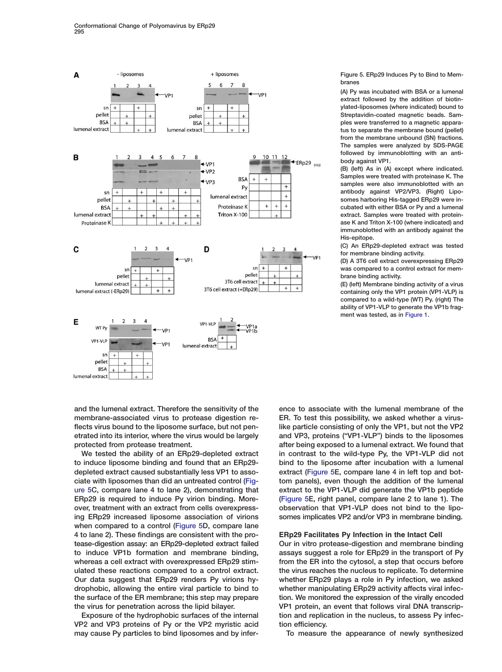<span id="page-6-0"></span>

**and the lumenal extract. Therefore the sensitivity of the membrane-associated virus to protease digestion reflects virus bound to the liposome surface, but not penetrated into its interior, where the virus would be largely protected from protease treatment.**

**We tested the ability of an ERp29-depleted extract to induce liposome binding and found that an ERp29 depleted extract caused substantially less VP1 to associate with liposomes than did an untreated control (Figure 5C, compare lane 4 to lane 2), demonstrating that ERp29 is required to induce Py virion binding. Moreover, treatment with an extract from cells overexpressing ERp29 increased liposome association of virions when compared to a control (Figure 5D, compare lane 4 to lane 2). These findings are consistent with the protease-digestion assay: an ERp29-depleted extract failed to induce VP1b formation and membrane binding, whereas a cell extract with overexpressed ERp29 stimulated these reactions compared to a control extract. Our data suggest that ERp29 renders Py virions hydrophobic, allowing the entire viral particle to bind to the surface of the ER membrane; this step may prepare the virus for penetration across the lipid bilayer.**

**Exposure of the hydrophobic surfaces of the internal VP2 and VP3 proteins of Py or the VP2 myristic acid may cause Py particles to bind liposomes and by infer-** **Figure 5. ERp29 Induces Py to Bind to Membranes**

**(A) Py was incubated with BSA or a lumenal extract followed by the addition of biotinylated-liposomes (where indicated) bound to Streptavidin-coated magnetic beads. Samples were transferred to a magnetic apparatus to separate the membrane bound (pellet) from the membrane unbound (SN) fractions. The samples were analyzed by SDS-PAGE followed by immunoblotting with an antibody against VP1.**

**(B) (left) As in (A) except where indicated. Samples were treated with proteinase K. The samples were also immunoblotted with an antibody against VP2/VP3. (Right) Liposomes harboring His-tagged ERp29 were incubated with either BSA or Py and a lumenal extract. Samples were treated with proteinase K and Triton X-100 (where indicated) and immunoblotted with an antibody against the His-epitope.**

**(C) An ERp29-depleted extract was tested for membrane binding activity.**

**(D) A 3T6 cell extract overexpressing ERp29 was compared to a control extract for membrane binding activity.**

**(E) (left) Membrane binding activity of a virus containing only the VP1 protein (VP1-VLP) is compared to a wild-type (WT) Py. (right) The ability of VP1-VLP to generate the VP1b fragment was tested, as in [Figure 1](#page-10-0).**

**ence to associate with the lumenal membrane of the ER. To test this possibility, we asked whether a viruslike particle consisting of only the VP1, but not the VP2 and VP3, proteins ("VP1-VLP") binds to the liposomes after being exposed to a lumenal extract. We found that in contrast to the wild-type Py, the VP1-VLP did not bind to the liposome after incubation with a lumenal extract (Figure 5E, compare lane 4 in left top and bottom panels), even though the addition of the lumenal extract to the VP1-VLP did generate the VP1b peptide (Figure 5E, right panel, compare lane 2 to lane 1). The observation that VP1-VLP does not bind to the liposomes implicates VP2 and/or VP3 in membrane binding.**

# **ERp29 Facilitates Py Infection in the Intact Cell**

**Our in vitro protease-digestion and membrane binding assays suggest a role for ERp29 in the transport of Py from the ER into the cytosol, a step that occurs before the virus reaches the nucleus to replicate. To determine whether ERp29 plays a role in Py infection, we asked whether manipulating ERp29 activity affects viral infection. We monitored the expression of the virally encoded VP1 protein, an event that follows viral DNA transcription and replication in the nucleus, to assess Py infection efficiency.**

**To measure the appearance of newly synthesized**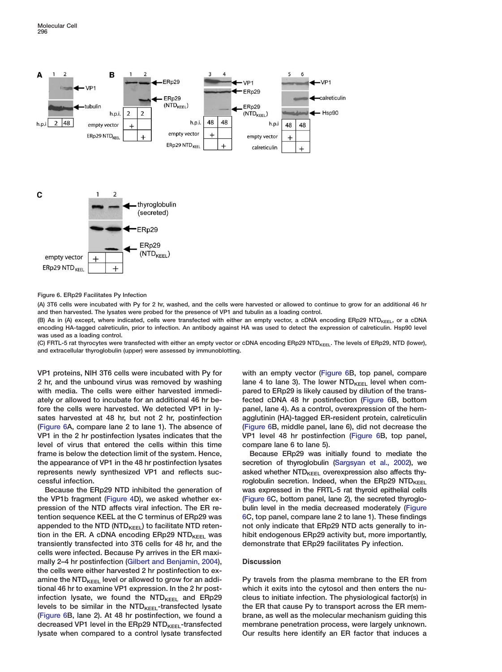

**Figure 6. ERp29 Facilitates Py Infection**

**(A) 3T6 cells were incubated with Py for 2 hr, washed, and the cells were harvested or allowed to continue to grow for an additional 46 hr and then harvested. The lysates were probed for the presence of VP1 and tubulin as a loading control.**

(B) As in (A) except, where indicated, cells were transfected with either an empty vector, a cDNA encoding ERp29 NTD<sub>KEEL</sub>, or a cDNA **encoding HA-tagged calreticulin, prior to infection. An antibody against HA was used to detect the expression of calreticulin. Hsp90 level was used as a loading control.**

(C) FRTL-5 rat thyrocytes were transfected with either an empty vector or cDNA encoding ERp29 NTD<sub>KEEL</sub>. The levels of ERp29, NTD (lower), **and extracellular thyroglobulin (upper) were assessed by immunoblotting.**

**VP1 proteins, NIH 3T6 cells were incubated with Py for 2 hr, and the unbound virus was removed by washing with media. The cells were either harvested immediately or allowed to incubate for an additional 46 hr before the cells were harvested. We detected VP1 in lysates harvested at 48 hr, but not 2 hr, postinfection (Figure 6A, compare lane 2 to lane 1). The absence of VP1 in the 2 hr postinfection lysates indicates that the level of virus that entered the cells within this time frame is below the detection limit of the system. Hence, the appearance of VP1 in the 48 hr postinfection lysates represents newly synthesized VP1 and reflects successful infection.**

**Because the ERp29 NTD inhibited the generation of the VP1b fragment [\(Figure 4](#page-5-0)D), we asked whether expression of the NTD affects viral infection. The ER retention sequence KEEL at the C terminus of ERp29 was** appended to the NTD (NTD<sub>KEEL</sub>) to facilitate NTD retention in the ER. A cDNA encoding ERp29 NTD<sub>KEEL</sub> was **transiently transfected into 3T6 cells for 48 hr, and the cells were infected. Because Py arrives in the ER maximally 2–4 hr postinfection [\(Gilbert and Benjamin, 2004\)](#page-10-0), the cells were either harvested 2 hr postinfection to ex**amine the NTD<sub>KEEL</sub> level or allowed to grow for an addi**tional 46 hr to examine VP1 expression. In the 2 hr post**infection lysate, we found the NTD<sub>KEEL</sub> and ERp29 levels to be similar in the NTD<sub>KEEL</sub>-transfected lysate **(Figure 6B, lane 2). At 48 hr postinfection, we found a** decreased VP1 level in the ERp29 NTD<sub>KEEL</sub>-transfected **lysate when compared to a control lysate transfected**

**with an empty vector (Figure 6B, top panel, compare** lane 4 to lane 3). The lower NTD<sub>KEEL</sub> level when com**pared to ERp29 is likely caused by dilution of the transfected cDNA 48 hr postinfection (Figure 6B, bottom panel, lane 4). As a control, overexpression of the hemagglutinin (HA)-tagged ER-resident protein, calreticulin (Figure 6B, middle panel, lane 6), did not decrease the VP1 level 48 hr postinfection (Figure 6B, top panel, compare lane 6 to lane 5).**

**Because ERp29 was initially found to mediate the secretion of thyroglobulin [\(Sargsyan et al., 2002\)](#page-10-0), we** asked whether NTD<sub>KEEL</sub> overexpression also affects thyroglobulin secretion. Indeed, when the ERp29 NTD<sub>KEEL</sub> **was expressed in the FRTL-5 rat thyroid epithelial cells (Figure 6C, bottom panel, lane 2), the secreted thyroglobulin level in the media decreased moderately (Figure 6C, top panel, compare lane 2 to lane 1). These findings not only indicate that ERp29 NTD acts generally to inhibit endogenous ERp29 activity but, more importantly, demonstrate that ERp29 facilitates Py infection.**

# **Discussion**

**Py travels from the plasma membrane to the ER from which it exits into the cytosol and then enters the nucleus to initiate infection. The physiological factor(s) in the ER that cause Py to transport across the ER membrane, as well as the molecular mechanism guiding this membrane penetration process, were largely unknown. Our results here identify an ER factor that induces a**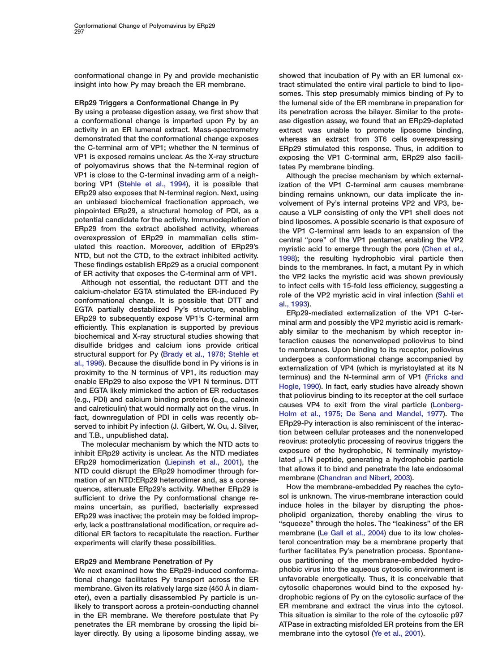**conformational change in Py and provide mechanistic insight into how Py may breach the ER membrane.**

# **ERp29 Triggers a Conformational Change in Py**

**By using a protease digestion assay, we first show that a conformational change is imparted upon Py by an activity in an ER lumenal extract. Mass-spectrometry demonstrated that the conformational change exposes the C-terminal arm of VP1; whether the N terminus of VP1 is exposed remains unclear. As the X-ray structure of polyomavirus shows that the N-terminal region of VP1 is close to the C-terminal invading arm of a neighboring VP1 [\(Stehle et al., 1994\)](#page-11-0), it is possible that ERp29 also exposes that N-terminal region. Next, using an unbiased biochemical fractionation approach, we pinpointed ERp29, a structural homolog of PDI, as a potential candidate for the activity. Immunodepletion of ERp29 from the extract abolished activity, whereas overexpression of ERp29 in mammalian cells stimulated this reaction. Moreover, addition of ERp29's NTD, but not the CTD, to the extract inhibited activity. These findings establish ERp29 as a crucial component of ER activity that exposes the C-terminal arm of VP1.**

**Although not essential, the reductant DTT and the calcium-chelator EGTA stimulated the ER-induced Py conformational change. It is possible that DTT and EGTA partially destabilized Py's structure, enabling ERp29 to subsequently expose VP1's C-terminal arm efficiently. This explanation is supported by previous biochemical and X-ray structural studies showing that disulfide bridges and calcium ions provide critical structural support for Py [\(Brady et al., 1978; Stehle et](#page-10-0) [al., 1996](#page-10-0)). Because the disulfide bond in Py virions is in proximity to the N terminus of VP1, its reduction may enable ERp29 to also expose the VP1 N terminus. DTT and EGTA likely mimicked the action of ER reductases (e.g., PDI) and calcium binding proteins (e.g., calnexin and calreticulin) that would normally act on the virus. In fact, downregulation of PDI in cells was recently observed to inhibit Py infection (J. Gilbert, W. Ou, J. Silver, and T.B., unpublished data).**

**The molecular mechanism by which the NTD acts to inhibit ERp29 activity is unclear. As the NTD mediates ERp29 homodimerization [\(Liepinsh et al., 2001\)](#page-10-0), the NTD could disrupt the ERp29 homodimer through formation of an NTD:ERp29 heterodimer and, as a consequence, attenuate ERp29's activity. Whether ERp29 is sufficient to drive the Py conformational change remains uncertain, as purified, bacterially expressed ERp29 was inactive; the protein may be folded improperly, lack a posttranslational modification, or require additional ER factors to recapitulate the reaction. Further experiments will clarify these possibilities.**

# **ERp29 and Membrane Penetration of Py**

**We next examined how the ERp29-induced conformational change facilitates Py transport across the ER membrane. Given its relatively large size (450 Å in diameter), even a partially disassembled Py particle is unlikely to transport across a protein-conducting channel in the ER membrane. We therefore postulate that Py penetrates the ER membrane by crossing the lipid bilayer directly. By using a liposome binding assay, we**

**showed that incubation of Py with an ER lumenal extract stimulated the entire viral particle to bind to liposomes. This step presumably mimics binding of Py to the lumenal side of the ER membrane in preparation for its penetration across the bilayer. Similar to the protease digestion assay, we found that an ERp29-depleted extract was unable to promote liposome binding, whereas an extract from 3T6 cells overexpressing ERp29 stimulated this response. Thus, in addition to exposing the VP1 C-terminal arm, ERp29 also facilitates Py membrane binding.**

**Although the precise mechanism by which externalization of the VP1 C-terminal arm causes membrane binding remains unknown, our data implicate the involvement of Py's internal proteins VP2 and VP3, because a VLP consisting of only the VP1 shell does not bind liposomes. A possible scenario is that exposure of the VP1 C-terminal arm leads to an expansion of the central "pore" of the VP1 pentamer, enabling the VP2 myristic acid to emerge through the pore [\(Chen et al.,](#page-10-0) [1998](#page-10-0)); the resulting hydrophobic viral particle then binds to the membranes. In fact, a mutant Py in which the VP2 lacks the myristic acid was shown previously to infect cells with 15-fold less efficiency, suggesting a role of the VP2 myristic acid in viral infection [\(Sahli et](#page-10-0) [al., 1993\)](#page-10-0).**

**ERp29-mediated externalization of the VP1 C-terminal arm and possibly the VP2 myristic acid is remarkably similar to the mechanism by which receptor interaction causes the nonenveloped poliovirus to bind to membranes. Upon binding to its receptor, poliovirus undergoes a conformational change accompanied by externalization of VP4 (which is myristoylated at its N terminus) and the N-terminal arm of VP1 [\(Fricks and](#page-10-0) [Hogle, 1990](#page-10-0)). In fact, early studies have already shown that poliovirus binding to its receptor at the cell surface causes VP4 to exit from the viral particle [\(Lonberg-](#page-10-0)[Holm et al., 1975; De Sena and Mandel, 1977\)](#page-10-0). The ERp29-Py interaction is also reminiscent of the interaction between cellular proteases and the nonenveloped reovirus: proteolytic processing of reovirus triggers the exposure of the hydrophobic, N terminally myristoylated 1N peptide, generating a hydrophobic particle that allows it to bind and penetrate the late endosomal membrane [\(Chandran and Nibert, 2003](#page-10-0)).**

**How the membrane-embedded Py reaches the cytosol is unknown. The virus-membrane interaction could induce holes in the bilayer by disrupting the phospholipid organization, thereby enabling the virus to "squeeze" through the holes. The "leakiness" of the ER membrane [\(Le Gall et al., 2004\)](#page-10-0) due to its low cholesterol concentration may be a membrane property that further facilitates Py's penetration process. Spontaneous partitioning of the membrane-embedded hydrophobic virus into the aqueous cytosolic environment is unfavorable energetically. Thus, it is conceivable that cytosolic chaperones would bind to the exposed hydrophobic regions of Py on the cytosolic surface of the ER membrane and extract the virus into the cytosol. This situation is similar to the role of the cytosolic p97 ATPase in extracting misfolded ER proteins from the ER membrane into the cytosol [\(Ye et al., 2001\)](#page-11-0).**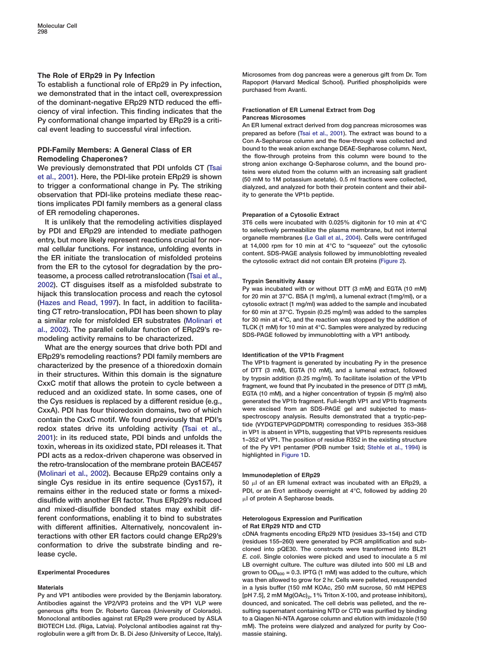# **The Role of ERp29 in Py Infection**

**To establish a functional role of ERp29 in Py infection, we demonstrated that in the intact cell, overexpression of the dominant-negative ERp29 NTD reduced the efficiency of viral infection. This finding indicates that the Py conformational change imparted by ERp29 is a critical event leading to successful viral infection.**

# **PDI-Family Members: A General Class of ER Remodeling Chaperones?**

**We previously demonstrated that PDI unfolds CT [\(Tsai](#page-11-0) [et al., 2001\)](#page-11-0). Here, the PDI-like protein ERp29 is shown to trigger a conformational change in Py. The striking observation that PDI-like proteins mediate these reactions implicates PDI family members as a general class of ER remodeling chaperones.**

**It is unlikely that the remodeling activities displayed by PDI and ERp29 are intended to mediate pathogen entry, but more likely represent reactions crucial for normal cellular functions. For instance, unfolding events in the ER initiate the translocation of misfolded proteins from the ER to the cytosol for degradation by the proteasome, a process called retrotranslocation [\(Tsai et al.,](#page-11-0) [2002\)](#page-11-0). CT disguises itself as a misfolded substrate to hijack this translocation process and reach the cytosol [\(Hazes and Read, 1997\)](#page-10-0). In fact, in addition to facilitating CT retro-translocation, PDI has been shown to play a similar role for misfolded ER substrates [\(Molinari et](#page-10-0) [al., 2002\)](#page-10-0). The parallel cellular function of ERp29's remodeling activity remains to be characterized.**

**What are the energy sources that drive both PDI and ERp29's remodeling reactions? PDI family members are characterized by the presence of a thioredoxin domain in their structures. Within this domain is the signature CxxC motif that allows the protein to cycle between a reduced and an oxidized state. In some cases, one of the Cys residues is replaced by a different residue (e.g., CxxA). PDI has four thioredoxin domains, two of which contain the CxxC motif. We found previously that PDI's redox states drive its unfolding activity [\(Tsai et al.,](#page-11-0) [2001\)](#page-11-0): in its reduced state, PDI binds and unfolds the toxin, whereas in its oxidized state, PDI releases it. That PDI acts as a redox-driven chaperone was observed in the retro-translocation of the membrane protein BACE457 [\(Molinari et al., 2002](#page-10-0)). Because ERp29 contains only a single Cys residue in its entire sequence (Cys157), it remains either in the reduced state or forms a mixeddisulfide with another ER factor. Thus ERp29's reduced and mixed-disulfide bonded states may exhibit different conformations, enabling it to bind to substrates with different affinities. Alternatively, noncovalent interactions with other ER factors could change ERp29's conformation to drive the substrate binding and release cycle.**

#### **Experimental Procedures**

## **Materials**

**Py and VP1 antibodies were provided by the Benjamin laboratory. Antibodies against the VP2/VP3 proteins and the VP1 VLP were generous gifts from Dr. Roberto Garcea (University of Colorado). Monoclonal antibodies against rat ERp29 were produced by ASLA BIOTECH Ltd. (Riga, Latvia). Polyclonal antibodies against rat thyroglobulin were a gift from Dr. B. Di Jeso (University of Lecce, Italy).**

**Microsomes from dog pancreas were a generous gift from Dr. Tom Rapoport (Harvard Medical School). Purified phospholipids were purchased from Avanti.**

## **Fractionation of ER Lumenal Extract from Dog Pancreas Microsomes**

**An ER lumenal extract derived from dog pancreas microsomes was prepared as before [\(Tsai et al., 2001\)](#page-11-0). The extract was bound to a Con A-Sepharose column and the flow-through was collected and bound to the weak anion exchange DEAE-Sepharose column. Next, the flow-through proteins from this column were bound to the strong anion exchange Q-Sepharose column, and the bound proteins were eluted from the column with an increasing salt gradient (50 mM to 1M potassium acetate). 0.5 ml fractions were collected, dialyzed, and analyzed for both their protein content and their ability to generate the VP1b peptide.**

#### **Preparation of a Cytosolic Extract**

**3T6 cells were incubated with 0.025% digitonin for 10 min at 4°C to selectively permeabilize the plasma membrane, but not internal organelle membranes [\(Le Gall et al., 2004\)](#page-10-0). Cells were centrifuged at 14,000 rpm for 10 min at 4°C to "squeeze" out the cytosolic content. SDS-PAGE analysis followed by immunoblotting revealed the cytosolic extract did not contain ER proteins [\(Figure 2\)](#page-3-0).**

#### **Trypsin Sensitivity Assay**

**Py was incubated with or without DTT (3 mM) and EGTA (10 mM) for 20 min at 37°C. BSA (1 mg/ml), a lumenal extract (1mg/ml), or a cytosolic extract (1 mg/ml) was added to the sample and incubated for 60 min at 37°C. Trypsin (0.25 mg/ml) was added to the samples for 30 min at 4°C, and the reaction was stopped by the addition of TLCK (1 mM) for 10 min at 4°C. Samples were analyzed by reducing SDS-PAGE followed by immunoblotting with a VP1 antibody.**

# **Identification of the VP1b Fragment**

**The VP1b fragment is generated by incubating Py in the presence of DTT (3 mM), EGTA (10 mM), and a lumenal extract, followed by trypsin addition (0.25 mg/ml). To facilitate isolation of the VP1b fragment, we found that Py incubated in the presence of DTT (3 mM), EGTA (10 mM), and a higher concentration of trypsin (5 mg/ml) also generated the VP1b fragment. Full-length VP1 and VP1b fragments were excised from an SDS-PAGE gel and subjected to massspectroscopy analysis. Results demonstrated that a tryptic-peptide (VYDGTEPVPGDPDMTR) corresponding to residues 353–368 in VP1 is absent in VP1b, suggesting that VP1b represents residues 1–352 of VP1. The position of residue R352 in the existing structure of the Py VP1 pentamer (PDB number 1sid; [Stehle et al., 1994\)](#page-11-0) is highlighted in [Figure 1D](#page-2-0).**

#### **Immunodepletion of ERp29**

**50 l of an ER lumenal extract was incubated with an ERp29, a PDI, or an Ero1 antibody overnight at 4°C, followed by adding 20 l of protein A Sepharose beads.**

## **Heterologous Expression and Purification of Rat ERp29 NTD and CTD**

**cDNA fragments encoding ERp29 NTD (residues 33–154) and CTD (residues 155–260) were generated by PCR amplification and subcloned into pQE30. The constructs were transformed into BL21** *E. coli***. Single colonies were picked and used to inoculate a 5 ml LB overnight culture. The culture was diluted into 500 ml LB and grown to OD600 = 0.3. IPTG (1 mM) was added to the culture, which was then allowed to grow for 2 hr. Cells were pelleted, resuspended in a lysis buffer (150 mM KOAc, 250 mM sucrose, 50 mM HEPES** [pH 7.5], 2 mM Mg(OAc)<sub>2</sub>, 1% Triton X-100, and protease inhibitors), **dounced, and sonicated. The cell debris was pelleted, and the resulting supernatant containing NTD or CTD was purified by binding to a Qiagen Ni-NTA Agarose column and elution with imidazole (150 mM). The proteins were dialyzed and analyzed for purity by Coomassie staining.**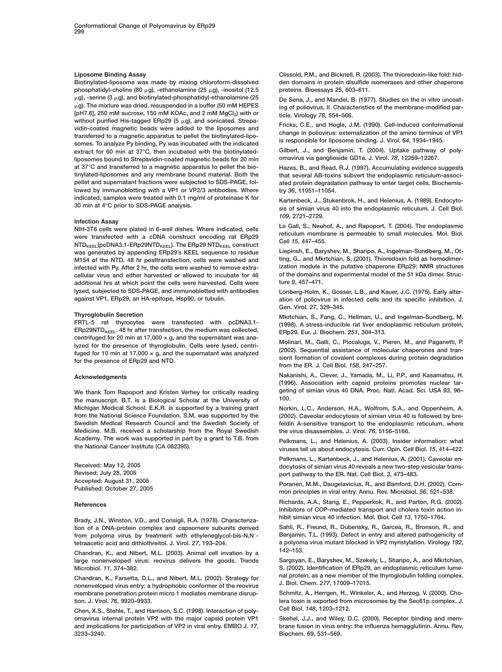## <span id="page-10-0"></span>**Liposome Binding Assay**

**Biotinylated-liposome was made by mixing chloroform-dissolved phosphatidyl-choline (80 μg), -ethanolamine (25 μg), -inositol (12.5 g), -serine (3 g), and biotinylated-phosphatidyl-ethanolamine (25 g). The mixture was dried, resuspended in a buffer (50 mM HEPES** [pH7.6], 250 mM sucrose, 150 mM KOAc, and 2 mM MgCl<sub>2</sub>) with or without purified His-tagged ERp29 (5  $\mu$ g), and sonicated. Strepa**vidin-coated magnetic beads were added to the liposomes and transferred to a magnetic apparatus to pellet the biotinylated-liposomes. To analyze Py binding, Py was incubated with the indicated extract for 60 min at 37°C, then incubated with the biotinylatedliposomes bound to Strepavidin-coated magnetic beads for 20 min at 37°C and transferred to a magnetic apparatus to pellet the biotinylated-liposomes and any membrane bound material. Both the pellet and supernatant fractions were subjected to SDS-PAGE, followed by immunoblotting with a VP1 or VP2/3 antibodies. Where indicated, samples were treated with 0.1 mg/ml of proteinase K for 30 min at 4°C prior to SDS-PAGE analysis.**

## **Infection Assay**

**NIH-3T6 cells were plated in 6-well dishes. Where indicated, cells were transfected with a cDNA construct encoding rat ERp29**  $NTD_{KEEL}(pCDNA3.1-ERp29NTD_{KEEL})$ . The ERp29 NTD<sub>KEEL</sub> construct **was generated by appending ERp29's KEEL sequence to residue M154 of the NTD. 48 hr posttransfection, cells were washed and infected with Py. After 2 hr, the cells were washed to remove extracellular virus and either harvested or allowed to incubate for 46 additional hrs at which point the cells were harvested. Cells were lysed, subjected to SDS-PAGE, and immunoblotted with antibodies against VP1, ERp29, an HA-epitope, Hsp90, or tubulin.**

#### **Thyroglobulin Secretion**

**FRTL-5 rat thyrocytes were transfected with pcDNA3.1-** ERp29NTD<sub>KEEL</sub>. 48 hr after transfection, the medium was collected, **centrifuged for 20 min at 17,000 × g, and the supernatant was analyzed for the presence of thyroglobulin. Cells were lysed, centrifuged for 10 min at 17,000 × g, and the supernatant was analyzed for the presence of ERp29 and NTD.**

#### **Acknowledgments**

**We thank Tom Rapoport and Kristen Verhey for critically reading the manuscript. B.T. is a Biological Scholar at the University of Michigan Medical School. E.K.R. is supported by a training grant from the National Science Foundation. S.M. was supported by the Swedish Medical Research Council and the Swedish Society of Medicine. M.B. received a scholarship from the Royal Swedish Academy. The work was supported in part by a grant to T.B. from the National Cancer Institute (CA 082395).**

**Received: May 12, 2005 Revised: July 28, 2005 Accepted: August 31, 2005 Published: October 27, 2005**

#### **References**

**Brady, J.N., Winston, V.D., and Consigli, R.A. (1978). Characterization of a DNA-protein complex and capsomere subunits derived** from polyoma virus by treatment with ethyleneglycol-bis-N,N'**tetraacetic acid and dithiothreitol. J. Virol.** *27***, 193–204.**

**Chandran, K., and Nibert, M.L. (2003). Animal cell invation by a large nonenveloped virus: reovirus delivers the goods. Trends Microbiol.** *11***, 374–382.**

**Chandran, K., Farsetta, D.L., and Nibert, M.L. (2002). Strategy for nonenveloped virus entry: a hydrophobic conformer of the reovirus membrane penetration protein micro 1 mediates membrane disruption. J. Virol.** *76***, 9920–9933.**

**Chen, X.S., Stehle, T., and Harrison, S.C. (1998). Interaction of polyomavirus internal protein VP2 with the major capsid protein VP1 and implications for participation of VP2 in viral entry. EMBO J.** *17***, 3233–3240.**

**Clissold, P.M., and Bicknell, R. (2003). The thioredoxin-like fold: hidden domains in protein disulfide isomerases and other chaperone proteins. Bioessays** *25***, 603–611.**

**De Sena, J., and Mandel, B. (1977). Studies on the in vitro uncoating of poliovirus. II. Characteristics of the membrane-modified particle. Virology** *78***, 554–566.**

**Fricks, C.E., and Hogle, J.M. (1990). Cell-induced conformational change in poliovirus: externalization of the amino terminus of VP1 is responsible for liposome binding. J. Virol.** *64***, 1934–1945.**

**Gilbert, J., and Benjamin, T. (2004). Uptake pathway of polyomavirus via ganglioside GD1a. J. Virol.** *78***, 12259–12267.**

**Hazes, B., and Read, R.J. (1997). Accumulating evidence suggests that several AB-toxins subvert the endoplasmic reticulum-associated protein degradation pathway to enter target cells. Biochemistry** *36***, 11051–11054.**

**Kartenbeck, J., Stukenbrok, H., and Helenius, A. (1989). Endocytosis of simian virus 40 into the endoplasmic reticulum. J. Cell Biol.** *109***, 2721–2729.**

**Le Gall, S., Neuhof, A., and Rapoport, T. (2004). The endoplasmic reticulum membrane is permeable to small molecules. Mol. Biol. Cell** *15***, 447–455.**

**Liepinsh, E., Baryshev, M., Sharipo, A., Ingelman-Sundberg, M., Otting, G., and Mkrtchian, S. (2001). Thioredoxin fold as homodimerization module in the putative chaperone ERp29: NMR structures of the domains and experimental model of the 51 kDa dimer. Structure** *9***, 457–471.**

**Lonberg-Holm, K., Gosser, L.B., and Kauer, J.C. (1975). Early alteration of poliovirus in infected cells and its specific inhibition. J. Gen. Virol.** *27***, 329–345.**

**Mkrtchian, S., Fang, C., Hellman, U., and Ingelman-Sundberg, M. (1998). A stress-inducible rat liver endoplasmic reticulum protein, ERp29. Eur. J. Biochem.** *251***, 304–313.**

**Molinari, M., Galli, C., Piccaluga, V., Pieren, M., and Paganetti, P. (2002). Sequential assistance of molecular chaperones and transient formation of covalent complexes during protein degradation from the ER. J. Cell Biol.** *158***, 247–257.**

**Nakanishi, A., Clever, J., Yamada, M., Li, P.P., and Kasamatsu, H. (1996). Association with capsid proteins promotes nuclear targeting of simian virus 40 DNA. Proc. Natl. Acad. Sci. USA** *93***, 96– 100.**

**Norkin, L.C., Anderson, H.A., Wolfrom, S.A., and Oppenheim, A. (2002). Caveolar endocytosis of simian virus 40 is followed by brefeldin A-sensitive transport to the endoplasmic reticulum, where the virus disassembles. J. Virol.** *76***, 5156–5166.**

**Pelkmans, L., and Helenius, A. (2003). Insider information: what viruses tell us about endocytosis. Curr. Opin. Cell Biol.** *15***, 414–422.**

**Pelkmans, L., Kartenbeck, J., and Helenius, A. (2001). Caveolar endocytosis of simian virus 40 reveals a new two-step vesicular transport pathway to the ER. Nat. Cell Biol.** *3***, 473–483.**

**Poranen, M.M., Daugelavicius, R., and Bamford, D.H. (2002). Common principles in viral entry. Annu. Rev. Microbiol.** *56***, 521–538.**

**Richards, A.A., Stang, E., Pepperkok, R., and Parton, R.G. (2002). Inhibitors of COP-mediated transport and cholera toxin action inhibit simian virus 40 infection. Mol. Biol. Cell** *13***, 1750–1764.**

**Sahli, R., Freund, R., Dubensky, R., Garcea, R., Bronson, R., and Benjamin, T.L. (1993). Defect in entry and altered pathogenicity of a polyoma virus mutant blocked in VP2 myristylation. Virology** *192***, 142–153.**

**Sargsyan, E., Baryshev, M., Szekely, L., Sharipo, A., and Mkrtchian, S. (2002). Identification of ERp29, an endoplasmic reticulum lumenal protein, as a new member of the thyroglobulin folding complex. J. Biol. Chem.** *277***, 17009–17015.**

**Schmitz, A., Herrgen, H., Winkeler, A., and Herzog, V. (2000). Cholera toxin is exported from microsomes by the Sec61p complex. J. Cell Biol.** *148***, 1203–1212.**

**Skehel, J.J., and Wiley, D.C. (2000). Receptor binding and membrane fusion in virus entry: the influenza hemagglutinin. Annu. Rev. Biochem.** *69***, 531–569.**